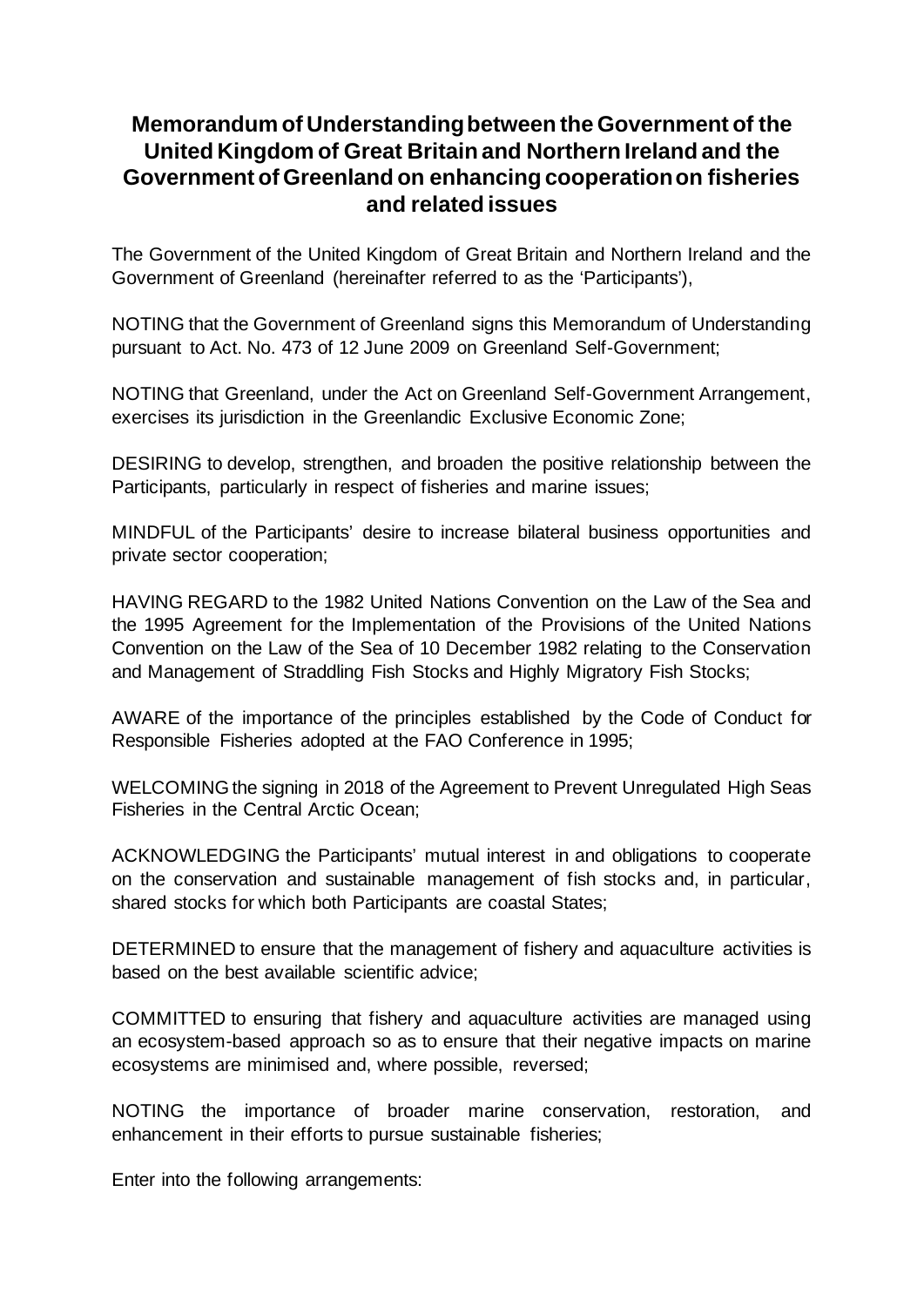## **Memorandum of Understanding between the Government of the United Kingdom of Great Britain and Northern Ireland and the Government of Greenland on enhancing cooperation on fisheries and related issues**

The Government of the United Kingdom of Great Britain and Northern Ireland and the Government of Greenland (hereinafter referred to as the 'Participants'),

NOTING that the Government of Greenland signs this Memorandum of Understanding pursuant to Act. No. 473 of 12 June 2009 on Greenland Self-Government;

NOTING that Greenland, under the Act on Greenland Self-Government Arrangement, exercises its jurisdiction in the Greenlandic Exclusive Economic Zone;

DESIRING to develop, strengthen, and broaden the positive relationship between the Participants, particularly in respect of fisheries and marine issues;

MINDFUL of the Participants' desire to increase bilateral business opportunities and private sector cooperation;

HAVING REGARD to the 1982 United Nations Convention on the Law of the Sea and the 1995 Agreement for the Implementation of the Provisions of the United Nations Convention on the Law of the Sea of 10 December 1982 relating to the Conservation and Management of Straddling Fish Stocks and Highly Migratory Fish Stocks;

AWARE of the importance of the principles established by the Code of Conduct for Responsible Fisheries adopted at the FAO Conference in 1995;

WELCOMING the signing in 2018 of the Agreement to Prevent Unregulated High Seas Fisheries in the Central Arctic Ocean;

ACKNOWLEDGING the Participants' mutual interest in and obligations to cooperate on the conservation and sustainable management of fish stocks and, in particular, shared stocks for which both Participants are coastal States;

DETERMINED to ensure that the management of fishery and aquaculture activities is based on the best available scientific advice;

COMMITTED to ensuring that fishery and aquaculture activities are managed using an ecosystem-based approach so as to ensure that their negative impacts on marine ecosystems are minimised and, where possible, reversed;

NOTING the importance of broader marine conservation, restoration, and enhancement in their efforts to pursue sustainable fisheries;

Enter into the following arrangements: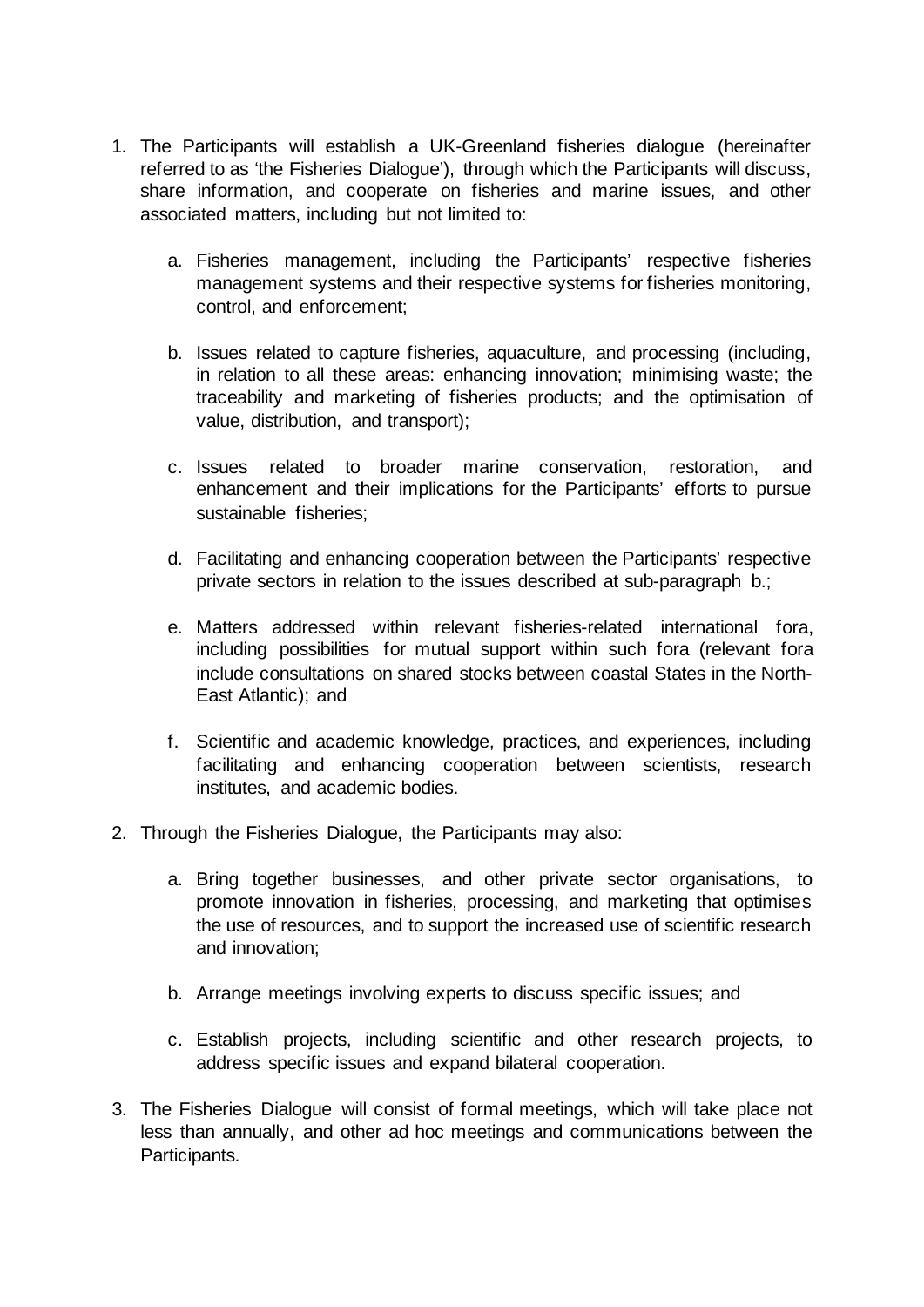- 1. The Participants will establish a UK-Greenland fisheries dialogue (hereinafter referred to as 'the Fisheries Dialogue'), through which the Participants will discuss, share information, and cooperate on fisheries and marine issues, and other associated matters, including but not limited to:
	- a. Fisheries management, including the Participants' respective fisheries management systems and their respective systems for fisheries monitoring, control, and enforcement;
	- b. Issues related to capture fisheries, aquaculture, and processing (including, in relation to all these areas: enhancing innovation; minimising waste; the traceability and marketing of fisheries products; and the optimisation of value, distribution, and transport);
	- c. Issues related to broader marine conservation, restoration, and enhancement and their implications for the Participants' efforts to pursue sustainable fisheries;
	- d. Facilitating and enhancing cooperation between the Participants' respective private sectors in relation to the issues described at sub-paragraph b.;
	- e. Matters addressed within relevant fisheries-related international fora, including possibilities for mutual support within such fora (relevant fora include consultations on shared stocks between coastal States in the North-East Atlantic); and
	- f. Scientific and academic knowledge, practices, and experiences, including facilitating and enhancing cooperation between scientists, research institutes, and academic bodies.
- 2. Through the Fisheries Dialogue, the Participants may also:
	- a. Bring together businesses, and other private sector organisations, to promote innovation in fisheries, processing, and marketing that optimises the use of resources, and to support the increased use of scientific research and innovation;
	- b. Arrange meetings involving experts to discuss specific issues; and
	- c. Establish projects, including scientific and other research projects, to address specific issues and expand bilateral cooperation.
- 3. The Fisheries Dialogue will consist of formal meetings, which will take place not less than annually, and other ad hoc meetings and communications between the Participants.